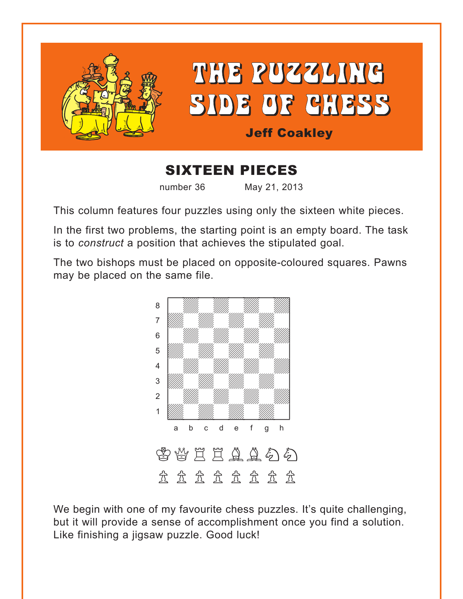

# SIXTEEN PIECES

number 36 May 21, 2013

This column features four puzzles using only the sixteen white pieces.

In the first two problems, the starting point is an empty board. The task is to *construct* a position that achieves the stipulated goal.

The two bishops must be placed on opposite-coloured squares. Pawns may be placed on the same file.



We begin with one of my favourite chess puzzles. It's quite challenging, but it will provide a sense of accomplishment once you find a solution. Like finishing a jigsaw puzzle. Good luck!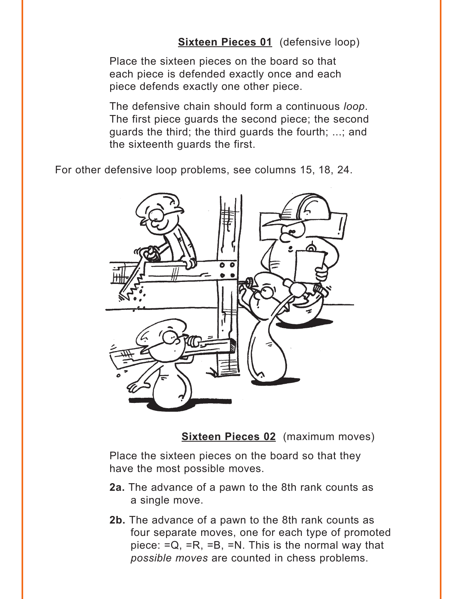#### **[Sixteen Pieces 01](#page-4-0)** (defensive loop)

<span id="page-1-0"></span>Place the sixteen pieces on the board so that each piece is defended exactly once and each piece defends exactly one other piece.

The defensive chain should form a continuous *loop*. The first piece guards the second piece; the second guards the third; the third guards the fourth; ...; and the sixteenth guards the first.

For other defensive loop problems, see columns 15, 18, 24.



**[Sixteen Pieces 02](#page-5-0)** (maximum moves)

Place the sixteen pieces on the board so that they have the most possible moves.

- **2a.** The advance of a pawn to the 8th rank counts as a single move.
- **2b.** The advance of a pawn to the 8th rank counts as four separate moves, one for each type of promoted piece:  $=Q_1 = R_1 = B_2 = N_1$ . This is the normal way that *possible moves* are counted in chess problems.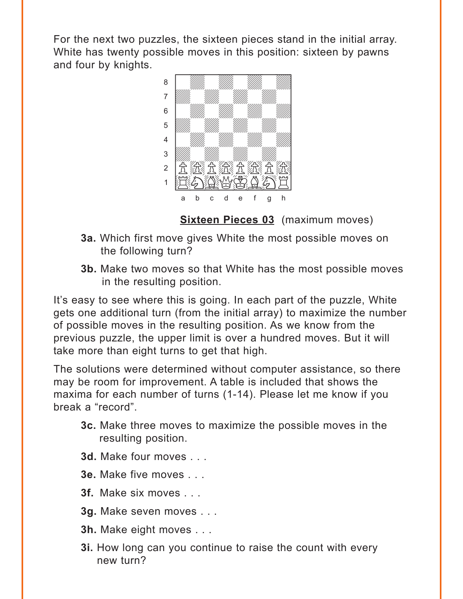<span id="page-2-0"></span>For the next two puzzles, the sixteen pieces stand in the initial array. White has twenty possible moves in this position: sixteen by pawns and four by knights. with the set of the set of the set of the set of the set of the set of the set of the set of the set of the set of the set of the set of the set of the set of the set of the set of the set of the set of the set of the set



**[Sixteen Pieces 03](#page-6-0)** (maximum moves)

- **3a.** Which first move gives White the most possible moves on the following turn?
- **3b.** Make two moves so that White has the most possible moves in the resulting position.

It's easy to see where this is going. In each part of the puzzle, White gets one additional turn (from the initial array) to maximize the number of possible moves in the resulting position. As we know from the previous puzzle, the upper limit is over a hundred moves. But it will take more than eight turns to get that high.

The solutions were determined without computer assistance, so there may be room for improvement. A table is included that shows the maxima for each number of turns (1-14). Please let me know if you break a "record".

- **3c.** Make three moves to maximize the possible moves in the resulting position.
- **3d.** Make four moves . . .
- **3e.** Make five moves . . .
- **3f.** Make six moves . . .
- **3g.** Make seven moves . . .
- **3h.** Make eight moves . . .
- **3i.** How long can you continue to raise the count with every new turn?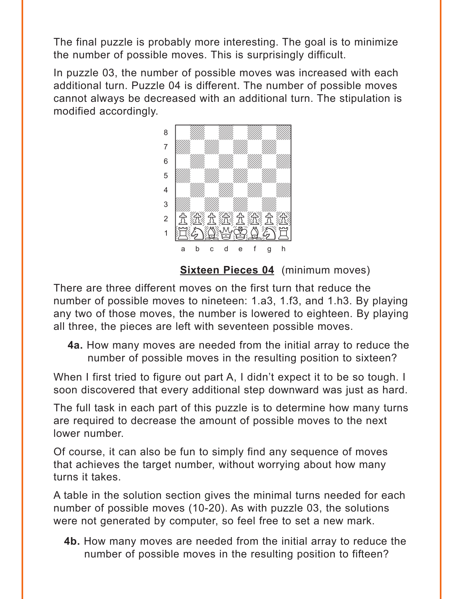<span id="page-3-0"></span>The final puzzle is probably more interesting. The goal is to minimize the number of possible moves. This is surprisingly difficult.

In puzzle 03, the number of possible moves was increased with each additional turn. Puzzle 04 is different. The number of possible moves cannot always be decreased with an additional turn. The stipulation is modified accordingly.



## **[Sixteen Pieces 04](#page-11-0)** (minimum moves)

There are three different moves on the first turn that reduce the number of possible moves to nineteen: 1.a3, 1.f3, and 1.h3. By playing any two of those moves, the number is lowered to eighteen. By playing all three, the pieces are left with seventeen possible moves.

**4a.** How many moves are needed from the initial array to reduce the number of possible moves in the resulting position to sixteen?

When I first tried to figure out part A, I didn't expect it to be so tough. I soon discovered that every additional step downward was just as hard.

The full task in each part of this puzzle is to determine how many turns are required to decrease the amount of possible moves to the next lower number.

Of course, it can also be fun to simply find any sequence of moves that achieves the target number, without worrying about how many turns it takes.

A table in the solution section gives the minimal turns needed for each number of possible moves (10-20). As with puzzle 03, the solutions were not generated by computer, so feel free to set a new mark.

**4b.** How many moves are needed from the initial array to reduce the number of possible moves in the resulting position to fifteen?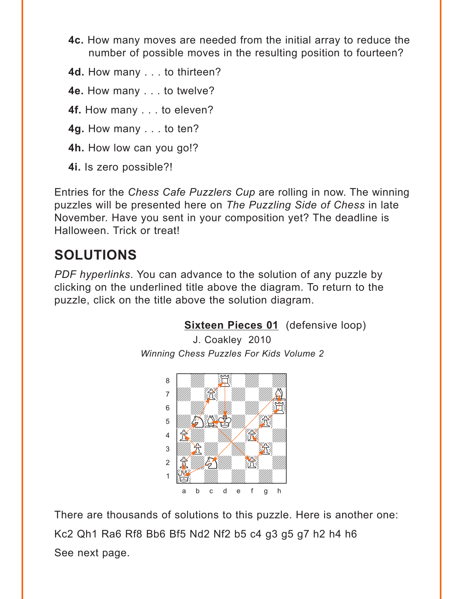- <span id="page-4-0"></span>**4c.** How many moves are needed from the initial array to reduce the number of possible moves in the resulting position to fourteen?
- **4d.** How many . . . to thirteen?
- **4e.** How many . . . to twelve?
- **4f.** How many . . . to eleven?
- **4g.** How many . . . to ten?
- **4h.** How low can you go!?
- **4i.** Is zero possible?!

Entries for the *Chess Cafe Puzzlers Cup* are rolling in now. The winning puzzles will be presented here on *The Puzzling Side of Chess* in late November. Have you sent in your composition yet? The deadline is Halloween. Trick or treat!

# **SOLUTIONS**

*PDF hyperlinks*. You can advance to the solution of any puzzle by clicking on the underlined title above the diagram. To return to the puzzle, click on the title above the solution diagram.

## **[Sixteen Pieces 01](#page-1-0)** (defensive loop)

J. Coakley 2010 *Winning Chess Puzzles For Kids Volume 2*



There are thousands of solutions to this puzzle. Here is another one: Kc2 Qh1 Ra6 Rf8 Bb6 Bf5 Nd2 Nf2 b5 c4 g3 g5 g7 h2 h4 h6 See next page.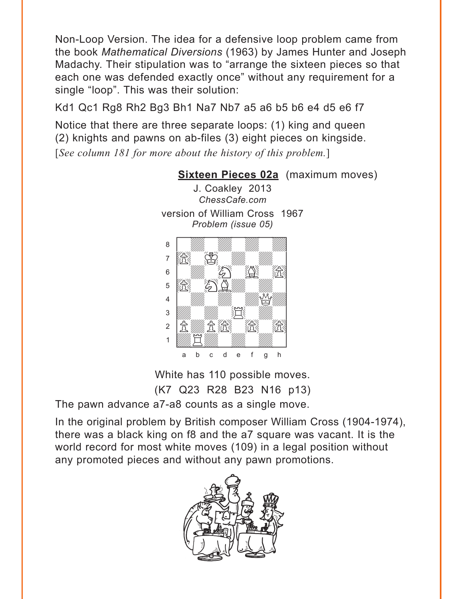<span id="page-5-0"></span>Non-Loop Version. The idea for a defensive loop problem came from the book *Mathematical Diversions* (1963) by James Hunter and Joseph Madachy. Their stipulation was to "arrange the sixteen pieces so that each one was defended exactly once" without any requirement for a single "loop". This was their solution:

Kd1 Qc1 Rg8 Rh2 Bg3 Bh1 Na7 Nb7 a5 a6 b5 b6 e4 d5 e6 f7

Notice that there are three separate loops: (1) king and queen (2) knights and pawns on ab-files (3) eight pieces on kingside. [*See column 181 for more about the history of this problem.*]



White has 110 possible moves. (K7 Q23 R28 B23 N16 p13)

The pawn advance a7-a8 counts as a single move.

In the original problem by British composer William Cross (1904-1974), there was a black king on f8 and the a7 square was vacant. It is the world record for most white moves (109) in a legal position without any promoted pieces and without any pawn promotions.

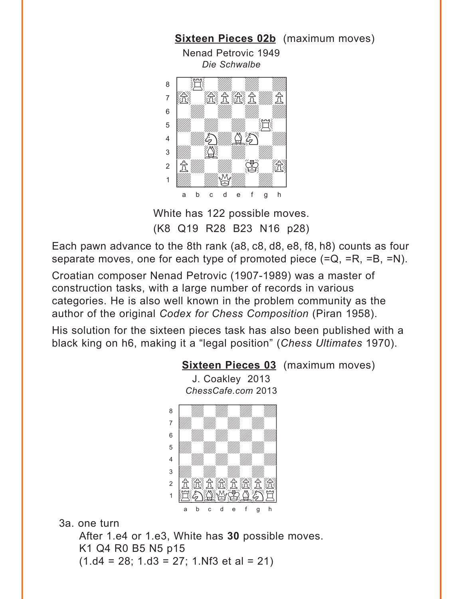<span id="page-6-0"></span>

White has 122 possible moves. (K8 Q19 R28 B23 N16 p28)

Each pawn advance to the 8th rank (a8, c8, d8, e8, f8, h8) counts as four separate moves, one for each type of promoted piece (=Q, =R, =B, =N).

Croatian composer Nenad Petrovic (1907-1989) was a master of construction tasks, with a large number of records in various categories. He is also well known in the problem community as the author of the original *Codex for Chess Composition* (Piran 1958).

His solution for the sixteen pieces task has also been published with a black king on h6, making it a "legal position" (*Chess Ultimates* 1970).

#### **[Sixteen Pieces 03](#page-2-0)** (maximum moves)

J. Coakley 2013 *ChessCafe.com* 2013



3a. one turn

After 1.e4 or 1.e3, White has **30** possible moves. K1 Q4 R0 B5 N5 p15  $(1. d4 = 28; 1. d3 = 27; 1. Nf3 et al = 21)$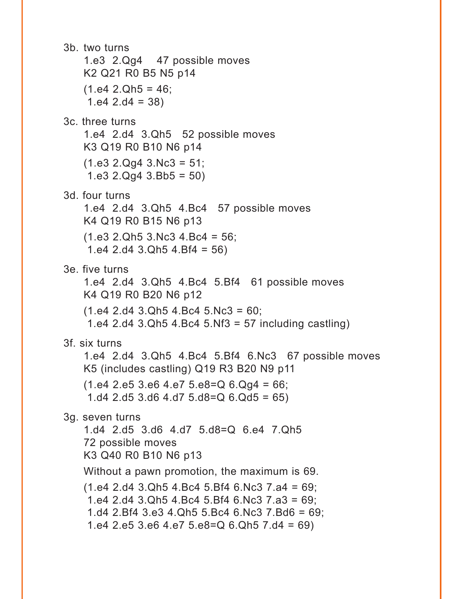```
3b. two turns
   1.e3 2.Qg4 47 possible moves 
   K2 Q21 R0 B5 N5 p14 
   (1.e4 2.Qh5 = 46;1.e4 2.d4 = 38)
3c. three turns
   1.e4 2.d4 3.Qh5 52 possible moves 
   K3 Q19 R0 B10 N6 p14 
   (1.e3 2.Qq4 3.Nc3 = 51;1.e3 2.Qq4 3.Bb5 = 503d. four turns
   1.e4 2.d4 3.Qh5 4.Bc4 57 possible moves 
   K4 Q19 R0 B15 N6 p13 
   (1.e3 2.Qh5 3.Nc3 4.Bc4 = 56;1.e4 2.d4 3.Qh5 4.Bf4 = 56)
3e. five turns
   1.e4 2.d4 3.Qh5 4.Bc4 5.Bf4 61 possible moves 
   K4 Q19 R0 B20 N6 p12 
   (1.e4 2.d4 3.Qh5 4.Bc4 5.Nc3 = 60;1.e4 2.d4 3.Qh5 4.Bc4 5.Nf3 = 57 including castling)
3f. six turns
   1.e4 2.d4 3.Qh5 4.Bc4 5.Bf4 6.Nc3 67 possible moves 
   K5 (includes castling) Q19 R3 B20 N9 p11 
   (1.e4 2.e5 3.e6 4.e7 5.e8=Q 6.Qq4 = 66);
    1.d4 2.d5 3.d6 4.d7 5.d8=Q 6.Qd5 = 65)
3g. seven turns
   1.d4 2.d5 3.d6 4.d7 5.d8=Q 6.e4 7.Qh5 
   72 possible moves 
   K3 Q40 R0 B10 N6 p13 
   Without a pawn promotion, the maximum is 69.
   (1.e4 2.d4 3.Qh5 4.Bc4 5.Bf4 6.Nc3 7.a4 = 69;
    1.e4 2.d4 3.Qh5 4.Bc4 5.Bf4 6.Nc3 7.a3 = 69;
    1.d4 2.Bf4 3.e3 4.Qh5 5.Bc4 6.Nc3 7.Bd6 = 69;
    1.e4 2.e5 3.e6 4.e7 5.e8=Q 6.Qh5 7.d4 = 69)
```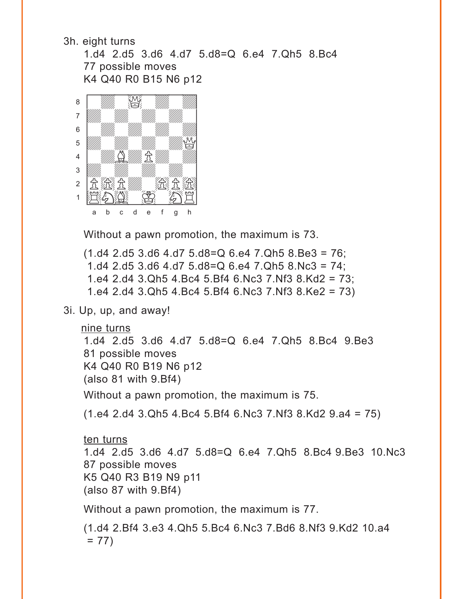3h. eight turns

1.d4 2.d5 3.d6 4.d7 5.d8=Q 6.e4 7.Qh5 8.Bc4 77 possible moves K4 Q40 R0 B15 N6 p12



Without a pawn promotion, the maximum is 73.

(1.d4 2.d5 3.d6 4.d7 5.d8=Q 6.e4 7.Qh5 8.Be3 = 76; 1.d4 2.d5 3.d6 4.d7 5.d8=Q 6.e4 7.Qh5 8.Nc3 = 74; 1.e4 2.d4 3.Qh5 4.Bc4 5.Bf4 6.Nc3 7.Nf3 8.Kd2 = 73; 1.e4 2.d4 3.Qh5 4.Bc4 5.Bf4 6.Nc3 7.Nf3 8.Ke2 = 73)

3i. Up, up, and away!

```
nine turns
```
1.d4 2.d5 3.d6 4.d7 5.d8=Q 6.e4 7.Qh5 8.Bc4 9.Be3 81 possible moves K4 Q40 R0 B19 N6 p12 (also 81 with 9.Bf4)

Without a pawn promotion, the maximum is 75.

(1.e4 2.d4 3.Qh5 4.Bc4 5.Bf4 6.Nc3 7.Nf3 8.Kd2 9.a4 = 75)

#### ten turns

1.d4 2.d5 3.d6 4.d7 5.d8=Q 6.e4 7.Qh5 8.Bc4 9.Be3 10.Nc3 87 possible moves K5 Q40 R3 B19 N9 p11  $(a$ lso 87 with 9.Bf4)

Without a pawn promotion, the maximum is 77.

(1.d4 2.Bf4 3.e3 4.Qh5 5.Bc4 6.Nc3 7.Bd6 8.Nf3 9.Kd2 10.a4  $= 77$ )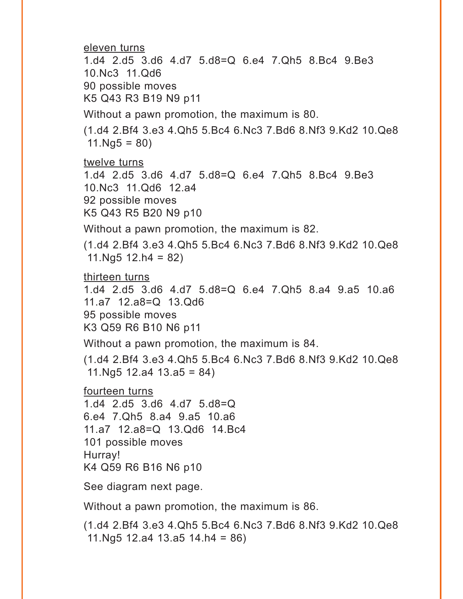eleven turns

1.d4 2.d5 3.d6 4.d7 5.d8=Q 6.e4 7.Qh5 8.Bc4 9.Be3 10.Nc3 11.Qd6 90 possible moves

K5 Q43 R3 B19 N9 p11

Without a pawn promotion, the maximum is 80.

(1.d4 2.Bf4 3.e3 4.Qh5 5.Bc4 6.Nc3 7.Bd6 8.Nf3 9.Kd2 10.Qe8  $11.Ng5 = 80$ 

twelve turns 1.d4 2.d5 3.d6 4.d7 5.d8=Q 6.e4 7.Qh5 8.Bc4 9.Be3 10.Nc3 11.Qd6 12.a4 92 possible moves K5 Q43 R5 B20 N9 p10

Without a pawn promotion, the maximum is 82.

(1.d4 2.Bf4 3.e3 4.Qh5 5.Bc4 6.Nc3 7.Bd6 8.Nf3 9.Kd2 10.Qe8  $11.Nq5 12.h4 = 82$ 

thirteen turns 1.d4 2.d5 3.d6 4.d7 5.d8=Q 6.e4 7.Qh5 8.a4 9.a5 10.a6 11.a7 12.a8=Q 13.Qd6 95 possible moves K3 Q59 R6 B10 N6 p11

Without a pawn promotion, the maximum is 84.

(1.d4 2.Bf4 3.e3 4.Qh5 5.Bc4 6.Nc3 7.Bd6 8.Nf3 9.Kd2 10.Qe8 11.Ng5 12.a4 13.a5 = 84)

fourteen turns

1.d4 2.d5 3.d6 4.d7 5.d8=Q 6.e4 7.Qh5 8.a4 9.a5 10.a6 11.a7 12.a8=Q 13.Qd6 14.Bc4 101 possible moves Hurray! K4 Q59 R6 B16 N6 p10

See diagram next page.

Without a pawn promotion, the maximum is 86.

(1.d4 2.Bf4 3.e3 4.Qh5 5.Bc4 6.Nc3 7.Bd6 8.Nf3 9.Kd2 10.Qe8 11.Ng5 12.a4 13.a5 14.h4 = 86)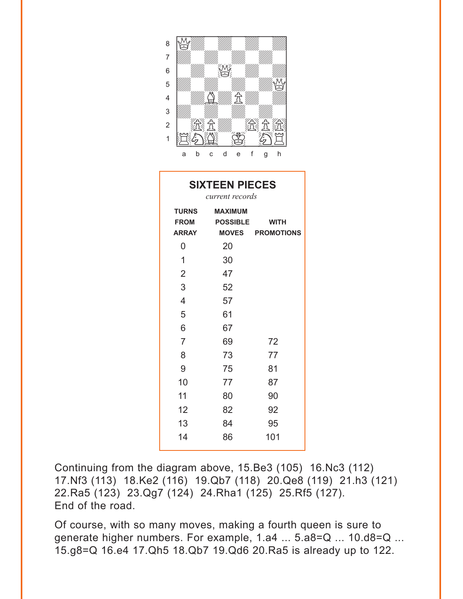| 8               |   |   |   |   |   |   |  |
|-----------------|---|---|---|---|---|---|--|
| 7               |   |   |   |   |   |   |  |
| $6\phantom{1}6$ |   |   |   |   |   |   |  |
| 5               |   |   |   |   |   |   |  |
| 4               |   |   |   |   |   |   |  |
| 3               |   |   |   |   |   |   |  |
| $\overline{2}$  |   |   |   |   |   |   |  |
| 1               |   |   |   |   |   |   |  |
|                 | a | b | с | е | g | h |  |

| <b>SIXTEEN PIECES</b>                       |                                                      |                                        |  |  |  |  |  |
|---------------------------------------------|------------------------------------------------------|----------------------------------------|--|--|--|--|--|
| <b>TURNS</b><br><b>FROM</b><br><b>ARRAY</b> | current records<br><b>MAXIMUM</b><br><b>POSSIBLE</b> | <b>WITH</b><br><b>MOVES PROMOTIONS</b> |  |  |  |  |  |
| 0                                           | 20                                                   |                                        |  |  |  |  |  |
| 1                                           | 30                                                   |                                        |  |  |  |  |  |
| $\overline{2}$                              | 47                                                   |                                        |  |  |  |  |  |
| 3                                           | 52                                                   |                                        |  |  |  |  |  |
| $\overline{4}$                              | 57                                                   |                                        |  |  |  |  |  |
| 5                                           | 61                                                   |                                        |  |  |  |  |  |
| 6                                           | 67                                                   |                                        |  |  |  |  |  |
| $\overline{7}$                              | 69                                                   | 72                                     |  |  |  |  |  |
| 8                                           | 73                                                   | 77                                     |  |  |  |  |  |
| 9                                           | 75                                                   | 81                                     |  |  |  |  |  |
| 10                                          | 77                                                   | 87                                     |  |  |  |  |  |
| 11                                          | 80                                                   | 90                                     |  |  |  |  |  |
| 12                                          | 82                                                   | 92                                     |  |  |  |  |  |
| 13                                          | 84                                                   | 95                                     |  |  |  |  |  |
| 14                                          | 86                                                   | 101                                    |  |  |  |  |  |

Continuing from the diagram above, 15.Be3 (105) 16.Nc3 (112) 17.Nf3 (113) 18.Ke2 (116) 19.Qb7 (118) 20.Qe8 (119) 21.h3 (121) 22.Ra5 (123) 23.Qg7 (124) 24.Rha1 (125) 25.Rf5 (127). End of the road.

Of course, with so many moves, making a fourth queen is sure to generate higher numbers. For example, 1.a4 ... 5.a8=Q ... 10.d8=Q ... 15.g8=Q 16.e4 17.Qh5 18.Qb7 19.Qd6 20.Ra5 is already up to 122.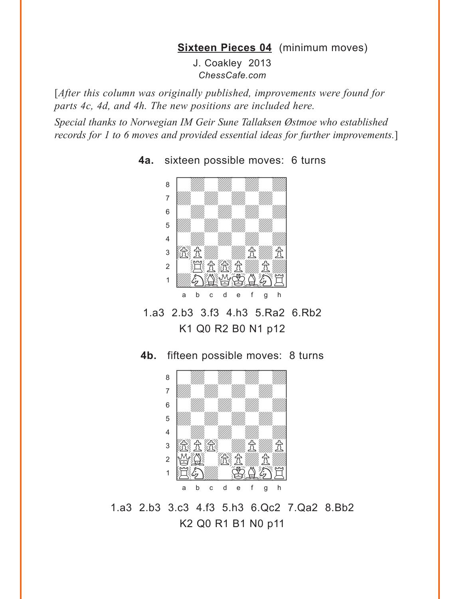#### **[Sixteen Pieces 04](#page-3-0)** (minimum moves)

J. Coakley 2013 *ChessCafe.com*

<span id="page-11-0"></span>[*After this column was originally published, improvements were found for parts 4c, 4d, and 4h. The new positions are included here.*

*Special thanks to Norwegian IM Geir Sune Tallaksen Østmoe who established records for 1 to 6 moves and provided essential ideas for further improvements.*]



**4a.** sixteen possible moves: 6 turns

1.a3 2.b3 3.f3 4.h3 5.Ra2 6.Rb2 K1 Q0 R2 B0 N1 p12

**4b.** fifteen possible moves: 8 turns



1.a3 2.b3 3.c3 4.f3 5.h3 6.Qc2 7.Qa2 8.Bb2 K2 Q0 R1 B1 N0 p11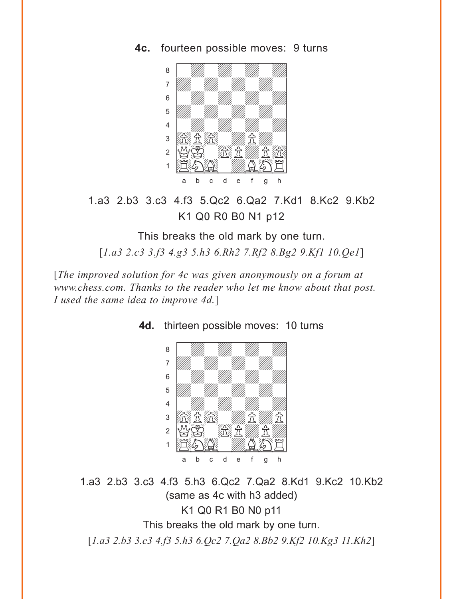**4c.** fourteen possible moves: 9 turns



1.a3 2.b3 3.c3 4.f3 5.Qc2 6.Qa2 7.Kd1 8.Kc2 9.Kb2 K1 Q0 R0 B0 N1 p12

This breaks the old mark by one turn. [*1.a3 2.c3 3.f3 4.g3 5.h3 6.Rh2 7.Rf2 8.Bg2 9.Kf1 10.Qe1*]

[*The improved solution for 4c was given anonymously on a forum at www.chess.com. Thanks to the reader who let me know about that post. I used the same idea to improve 4d.*]



**4d.** thirteen possible moves: 10 turns

1.a3 2.b3 3.c3 4.f3 5.h3 6.Qc2 7.Qa2 8.Kd1 9.Kc2 10.Kb2 (same as 4c with h3 added) K1 Q0 R1 B0 N0 p11 This breaks the old mark by one turn. [*1.a3 2.b3 3.c3 4.f3 5.h3 6.Qc2 7.Qa2 8.Bb2 9.Kf2 10.Kg3 11.Kh2*]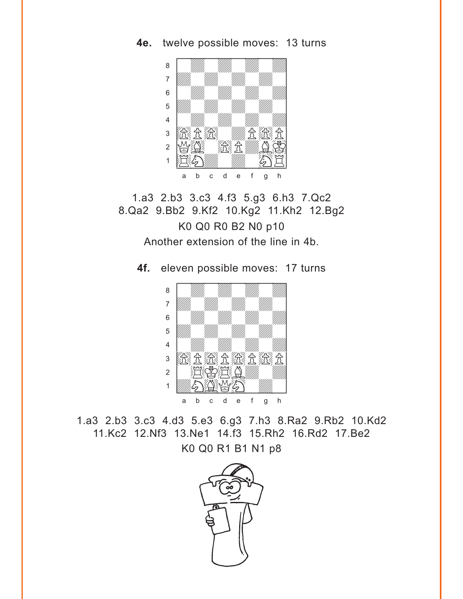**4e.** twelve possible moves: 13 turns



1.a3 2.b3 3.c3 4.f3 5.g3 6.h3 7.Qc2 8.Qa2 9.Bb2 9.Kf2 10.Kg2 11.Kh2 12.Bg2 K0 Q0 R0 B2 N0 p10 Another extension of the line in 4b.

**4f.** eleven possible moves: 17 turns



1.a3 2.b3 3.c3 4.d3 5.e3 6.g3 7.h3 8.Ra2 9.Rb2 10.Kd2 11.Kc2 12.Nf3 13.Ne1 14.f3 15.Rh2 16.Rd2 17.Be2 K0 Q0 R1 B1 N1 p8

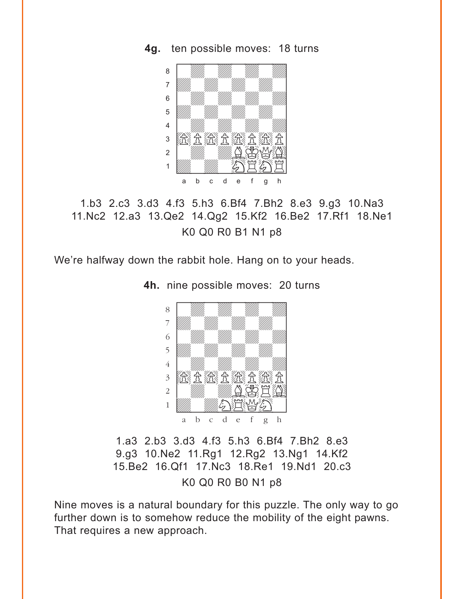**4g.** ten possible moves: 18 turns



## 1.b3 2.c3 3.d3 4.f3 5.h3 6.Bf4 7.Bh2 8.e3 9.g3 10.Na3 11.Nc2 12.a3 13.Qe2 14.Qg2 15.Kf2 16.Be2 17.Rf1 18.Ne1 K0 Q0 R0 B1 N1 p8

We're halfway down the rabbit hole. Hang on to your heads.

**4h.** nine possible moves: 20 turns



1.a3 2.b3 3.d3 4.f3 5.h3 6.Bf4 7.Bh2 8.e3 9.g3 10.Ne2 11.Rg1 12.Rg2 13.Ng1 14.Kf2 15.Be2 16.Qf1 17.Nc3 18.Re1 19.Nd1 20.c3 K0 Q0 R0 B0 N1 p8

Nine moves is a natural boundary for this puzzle. The only way to go further down is to somehow reduce the mobility of the eight pawns. That requires a new approach.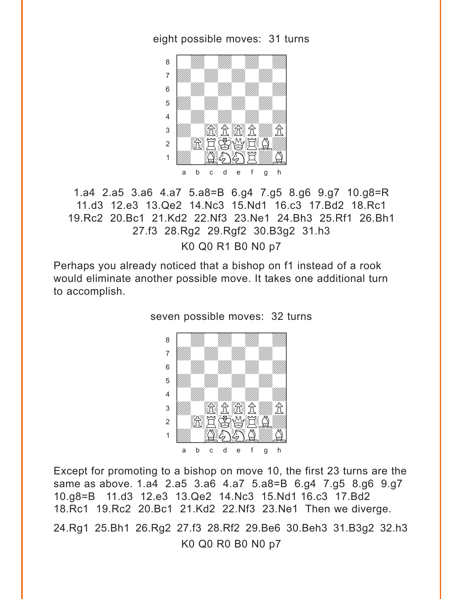eight possible moves: 31 turns



1.a4 2.a5 3.a6 4.a7 5.a8=B 6.g4 7.g5 8.g6 9.g7 10.g8=R 11.d3 12.e3 13.Qe2 14.Nc3 15.Nd1 16.c3 17.Bd2 18.Rc1 19.Rc2 20.Bc1 21.Kd2 22.Nf3 23.Ne1 24.Bh3 25.Rf1 26.Bh1 27.f3 28.Rg2 29.Rgf2 30.B3g2 31.h3

K0 Q0 R1 B0 N0 p7

Perhaps you already noticed that a bishop on f1 instead of a rook would eliminate another possible move. It takes one additional turn to accomplish.

seven possible moves: 32 turns



Except for promoting to a bishop on move 10, the first 23 turns are the same as above. 1.a4 2.a5 3.a6 4.a7 5.a8=B 6.g4 7.g5 8.g6 9.g7 10.g8=B 11.d3 12.e3 13.Qe2 14.Nc3 15.Nd1 16.c3 17.Bd2 18.Rc1 19.Rc2 20.Bc1 21.Kd2 22.Nf3 23.Ne1 Then we diverge. 24.Rg1 25.Bh1 26.Rg2 27.f3 28.Rf2 29.Be6 30.Beh3 31.B3g2 32.h3 K0 Q0 R0 B0 N0 p7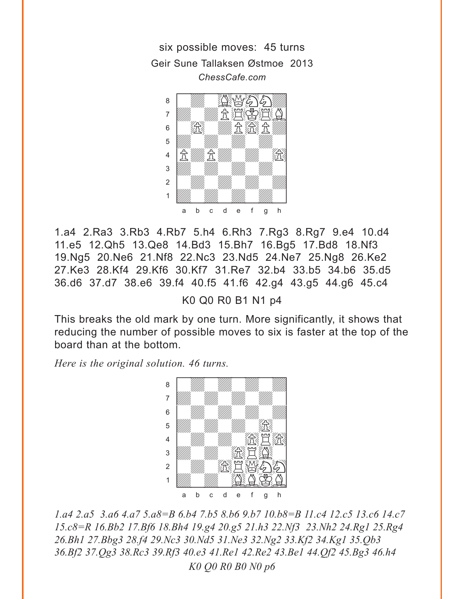six possible moves: 45 turns Geir Sune Tallaksen Østmoe 2013 *ChessCafe.com*



1.a4 2.Ra3 3.Rb3 4.Rb7 5.h4 6.Rh3 7.Rg3 8.Rg7 9.e4 10.d4 11.e5 12.Qh5 13.Qe8 14.Bd3 15.Bh7 16.Bg5 17.Bd8 18.Nf3 19.Ng5 20.Ne6 21.Nf8 22.Nc3 23.Nd5 24.Ne7 25.Ng8 26.Ke2 27.Ke3 28.Kf4 29.Kf6 30.Kf7 31.Re7 32.b4 33.b5 34.b6 35.d5 36.d6 37.d7 38.e6 39.f4 40.f5 41.f6 42.g4 43.g5 44.g6 45.c4

K0 Q0 R0 B1 N1 p4

This breaks the old mark by one turn. More significantly, it shows that reducing the number of possible moves to six is faster at the top of the board than at the bottom.

*Here is the original solution. 46 turns.*



*1.a4 2.a5 3.a6 4.a7 5.a8=B 6.b4 7.b5 8.b6 9.b7 10.b8=B 11.c4 12.c5 13.c6 14.c7 15.c8=R 16.Bb2 17.Bf6 18.Bh4 19.g4 20.g5 21.h3 22.Nf3 23.Nh2 24.Rg1 25.Rg4 26.Bh1 27.Bbg3 28.f4 29.Nc3 30.Nd5 31.Ne3 32.Ng2 33.Kf2 34.Kg1 35.Qb3 36.Bf2 37.Qg3 38.Rc3 39.Rf3 40.e3 41.Re1 42.Re2 43.Be1 44.Qf2 45.Bg3 46.h4 K0 Q0 R0 B0 N0 p6*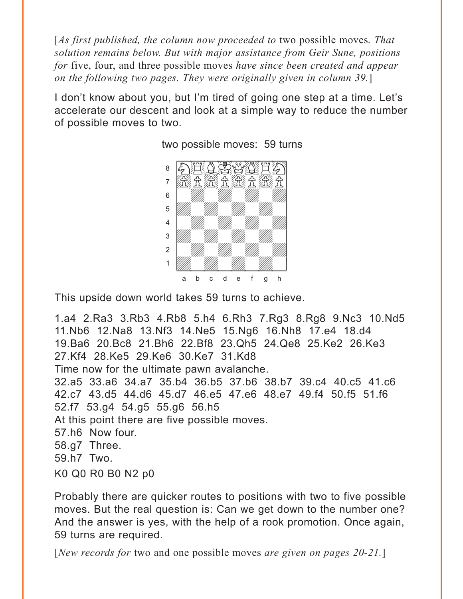[*As first published, the column now proceeded to* two possible moves*. That solution remains below. But with major assistance from Geir Sune, positions for* five, four, and three possible moves *have since been created and appear on the following two pages. They were originally given in column 39.*]

I don't know about you, but I'm tired of going one step at a time. Let's accelerate our descent and look at a simple way to reduce the number of possible moves to two.



two possible moves: 59 turns

This upside down world takes 59 turns to achieve.

1.a4 2.Ra3 3.Rb3 4.Rb8 5.h4 6.Rh3 7.Rg3 8.Rg8 9.Nc3 10.Nd5 11.Nb6 12.Na8 13.Nf3 14.Ne5 15.Ng6 16.Nh8 17.e4 18.d4 19.Ba6 20.Bc8 21.Bh6 22.Bf8 23.Qh5 24.Qe8 25.Ke2 26.Ke3 27.Kf4 28.Ke5 29.Ke6 30.Ke7 31.Kd8 Time now for the ultimate pawn avalanche. 32.a5 33.a6 34.a7 35.b4 36.b5 37.b6 38.b7 39.c4 40.c5 41.c6 42.c7 43.d5 44.d6 45.d7 46.e5 47.e6 48.e7 49.f4 50.f5 51.f6 52.f7 53.g4 54.g5 55.g6 56.h5 At this point there are five possible moves. 57.h6 Now four. 58.g7 Three. 59.h7 Two. K0 Q0 R0 B0 N2 p0

Probably there are quicker routes to positions with two to five possible moves. But the real question is: Can we get down to the number one? And the answer is yes, with the help of a rook promotion. Once again, 59 turns are required.

[*New records for* two and one possible moves *are given on pages 20-21.*]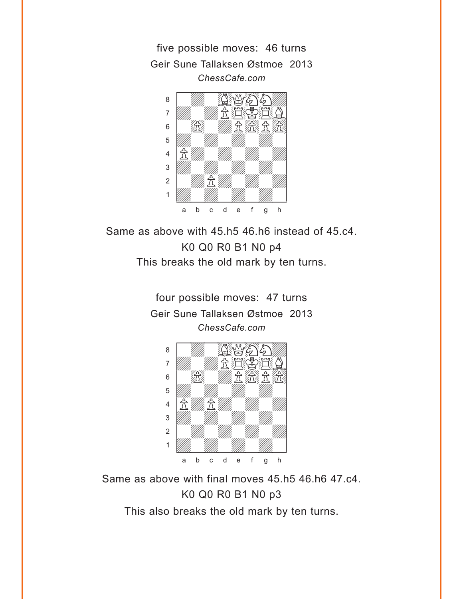five possible moves: 46 turns Geir Sune Tallaksen Østmoe 2013 *ChessCafe.com*



Same as above with 45.h5 46.h6 instead of 45.c4. K0 Q0 R0 B1 N0 p4 This breaks the old mark by ten turns.

> four possible moves: 47 turns Geir Sune Tallaksen Østmoe 2013 *ChessCafe.com*



Same as above with final moves 45.h5 46.h6 47.c4. K0 Q0 R0 B1 N0 p3

This also breaks the old mark by ten turns.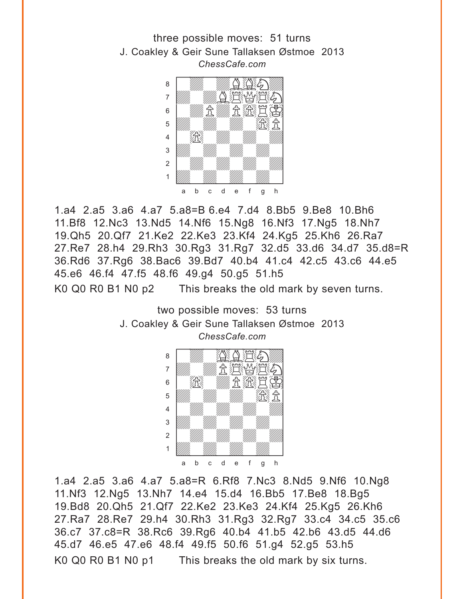



1.a4 2.a5 3.a6 4.a7 5.a8=B 6.e4 7.d4 8.Bb5 9.Be8 10.Bh6 11.Bf8 12.Nc3 13.Nd5 14.Nf6 15.Ng8 16.Nf3 17.Ng5 18.Nh7 19.Qh5 20.Qf7 21.Ke2 22.Ke3 23.Kf4 24.Kg5 25.Kh6 26.Ra7 27.Re7 28.h4 29.Rh3 30.Rg3 31.Rg7 32.d5 33.d6 34.d7 35.d8=R 36.Rd6 37.Rg6 38.Bac6 39.Bd7 40.b4 41.c4 42.c5 43.c6 44.e5 45.e6 46.f4 47.f5 48.f6 49.g4 50.g5 51.h5 K0 Q0 R0 B1 N0 p2 This breaks the old mark by seven turns.

> two possible moves: 53 turns J. Coakley & Geir Sune Tallaksen Østmoe 2013 *ChessCafe.com* w\_\_\_\_\_\_\_\_w



1.a4 2.a5 3.a6 4.a7 5.a8=R 6.Rf8 7.Nc3 8.Nd5 9.Nf6 10.Ng8 11.Nf3 12.Ng5 13.Nh7 14.e4 15.d4 16.Bb5 17.Be8 18.Bg5 19.Bd8 20.Qh5 21.Qf7 22.Ke2 23.Ke3 24.Kf4 25.Kg5 26.Kh6 27.Ra7 28.Re7 29.h4 30.Rh3 31.Rg3 32.Rg7 33.c4 34.c5 35.c6 36.c7 37.c8=R 38.Rc6 39.Rg6 40.b4 41.b5 42.b6 43.d5 44.d6 45.d7 46.e5 47.e6 48.f4 49.f5 50.f6 51.g4 52.g5 53.h5 K0 Q0 R0 B1 N0 p1 This breaks the old mark by six turns.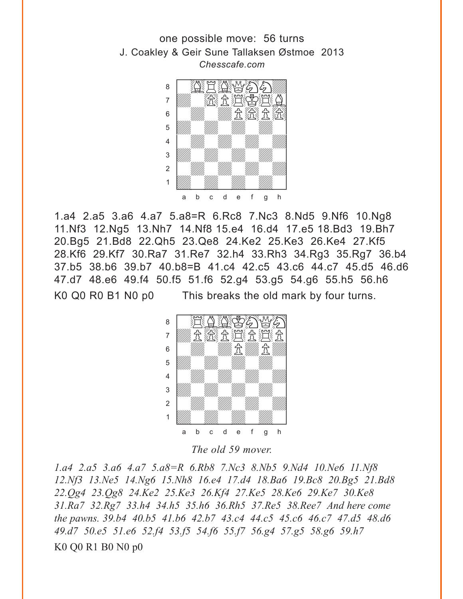one possible move: 56 turns J. Coakley & Geir Sune Tallaksen Østmoe 2013 *Chesscafe.com*



1.a4 2.a5 3.a6 4.a7 5.a8=R 6.Rc8 7.Nc3 8.Nd5 9.Nf6 10.Ng8 11.Nf3 12.Ng5 13.Nh7 14.Nf8 15.e4 16.d4 17.e5 18.Bd3 19.Bh7 20.Bg5 21.Bd8 22.Qh5 23.Qe8 24.Ke2 25.Ke3 26.Ke4 27.Kf5 28.Kf6 29.Kf7 30.Ra7 31.Re7 32.h4 33.Rh3 34.Rg3 35.Rg7 36.b4 37.b5 38.b6 39.b7 40.b8=B 41.c4 42.c5 43.c6 44.c7 45.d5 46.d6 47.d7 48.e6 49.f4 50.f5 51.f6 52.g4 53.g5 54.g6 55.h5 56.h6 K0 Q0 R0 B1 N0 p0 This breaks the old mark by four turns.



*The old 59 mover.*

*1.a4 2.a5 3.a6 4.a7 5.a8=R 6.Rb8 7.Nc3 8.Nb5 9.Nd4 10.Ne6 11.Nf8 12.Nf3 13.Ne5 14.Ng6 15.Nh8 16.e4 17.d4 18.Ba6 19.Bc8 20.Bg5 21.Bd8 22.Qg4 23.Qg8 24.Ke2 25.Ke3 26.Kf4 27.Ke5 28.Ke6 29.Ke7 30.Ke8 31.Ra7 32.Rg7 33.h4 34.h5 35.h6 36.Rh5 37.Re5 38.Ree7 And here come the pawns. 39.b4 40.b5 41.b6 42.b7 43.c4 44.c5 45.c6 46.c7 47.d5 48.d6 49.d7 50.e5 51.e6 52.f4 53.f5 54.f6 55.f7 56.g4 57.g5 58.g6 59.h7*  K0 Q0 R1 B0 N0 p0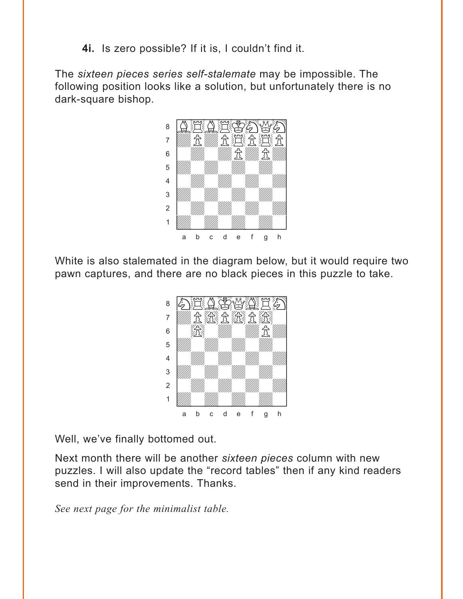**4i.** Is zero possible? If it is, I couldn't find it.

The *sixteen pieces series self-stalemate* may be impossible. The following position looks like a solution, but unfortunately there is no dark-square bishop.



White is also stalemated in the diagram below, but it would require two pawn captures, and there are no black pieces in this puzzle to take.



Well, we've finally bottomed out.

Next month there will be another *sixteen pieces* column with new puzzles. I will also update the "record tables" then if any kind readers send in their improvements. Thanks.

*See next page for the minimalist table.*